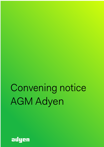# Convening notice AGM Adyen

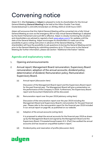# Convening notice

Adyen N.V. (the **Company** or **Adyen**) is pleased to invite its shareholders for the Annual General Meeting (**General Meeting**) to be held at the Hilton Double Tree Hotel, Oosterdoksstraat 4, (1011DK) Amsterdam on 26 May 2020 at 10.00 hours CEST.

Adyen will announce that this Hybrid General Meeting will be converted into a fully Virtual General Meeting as soon as the emergency Bill on fully virtual General Meetings is adopted by the Dutch Parliament and such Bill is effective. Adyen is closely monitoring the situation and shareholders are advised to regularly check www.adyen.com/ir for updates until the date of the General Meeting. Adyen encourages its shareholders to make use of the possibility to give a voting instruction in advance of the General Meeting. Further, shareholders will have the possibility to ask questions (i) during the General Meeting and (ii) prior to the General Meeting by submitting questions up to 72 hours prior to the General Meeting (for further information, please see section "Additional information" below).

# **Agenda and explanatory notes**

- 1. Opening and announcements
- 2. Annual report; Management Board remuneration; Supervisory Board remuneration; adoption of the annual accounts; dividend policy; determination of dividend; Remuneration policy; Remuneration Supervisory Board.
	- (a) Annual report *(discussion item)*

Discussion of the Management Board report and the Supervisory Board report for the past financial year. The Management Board will give a presentation on the performance of the Company in 2019. Furthermore, the Supervisory Board report and Accountant Statements will be discussed.

(b) Remuneration report over the year 2019 *(advisory voting item)*

Discussion of the remuneration report over the year 2019 including the Management Board and Supervisory Board's remuneration for the past financial year. Please refer to the remuneration report for the financial year 2019 included in our annual report on page 69, as published on our website.

(c) Adoption of the annual accounts (*voting item*)

It is proposed to adopt the annual accounts for the financial year 2019 as drawn up by the Management Board and signed by the Management Board and the Supervisory Board. PricewaterhouseCoopers N.V. (PwC) has audited the annual accounts and has issued an unqualified auditor's report.

(d) Dividend policy and reservation of profits (*discussion item*)

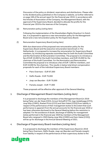Discussion of the policy on dividend, reservations and distributions. Please refer to the dividend policy published on the Company's website, as further referred to on page 106 of the annual report for the financial year 2019. In accordance with the Articles of Association of the Company, the Management Board, with the approval of the Supervisory Board, decided to allocate the profits for the financial year 2019 to the reserves of the Company.

(e) Remuneration policy *(voting item)*

Following the implementation of the Shareholders Rights Directive II in Dutch law, it is proposed to approve a new remuneration policy for the Management Board and a new remuneration policy for the Supervisory Board.

(f) Remuneration Supervisory Board *(voting item)*

With due observance of the proposed new remuneration policy for the Supervisory Board and the executive remuneration benchmark in The Netherlands, it is proposed to increase the remuneration for Supervisory Board members, by introducing separate committee fees for both the Audit Committee and the Nomination & Remuneration Committee. The proposal is to introduce a fee of EUR 10,000 for the Audit Committee members, and EUR 15,000 for the chairman of the Audit Committee. For the Nomination and Remuneration Committee the proposal is to introduce a fee of EUR 7,000 for members, and EUR 10,000 for the chairman. This results in below total direct compensation proposals for each of the individual Supervisory Board members:

- § Piero Overmars EUR 97,000
- § Delfin Rueda EUR 75,000
- § Joep van Beurden EUR 70,000
- § Pamela Joseph EUR 77,000

These proposals will be effective after approval of the General Meeting.

# 3. Discharge of Management Board members *(voting item)*

It is proposed to discharge the members of the Management Board (in 2019 being Pieter van der Does (CEO), Arnout Schuijff (CTO), Ingo Uytdehaage (CFO), Joop Wijn (CSRO), Roelant Prins (CCO) and Sam Halse (COO)) from liability in respect of the performance of their management duties to the extent that such performance is apparent from the annual accounts for the financial year 2019 or has been otherwise disclosed to the General Meeting before the resolution is adopted. For the avoidance of doubt, discharge of liability for management duties performed in the financial year 2020 by members of the Management Board who resigned in 2020 (being Joop Wijn (CSRO) and Sam Halse (COO)) will be up for discharge in the Annual General Meeting of 2021.

# 4. Discharge of Supervisory Board members *(voting item)*

It is proposed to discharge the members of the Supervisory Board (in 2019 being Piero Overmars, Delfin Rueda, Joep van Beurden and Pamela Joseph) from liability in respect of the performance of their supervisory duties to the

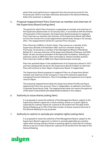extent that such performance is apparent from the annual accounts for the financial year 2019 or has been otherwise disclosed to the General Meeting before the resolution is adopted.

# 5. Proposal reappointment Piero Overmars as member and chairman of the Supervisory Board (*voting item*)

The period for which Piero Overmars is appointed as member and chairman of the Supervisory Board ends on 20 January 2021. In accordance with the Articles of Association of the Company, the Supervisory Board proposes to reappoint Piero Overmars as member and chairman of the Supervisory Board with effect as from the moment his current appointment period ends, being on 20 January 2021. The reappointment will be for a period of four (4) years.

Piero Overmars (1964) is a Dutch citizen. Piero serves as a member of the Supervisory Boards of Amsterdam UMC and Dura Vermeer Groep N.V. Previously, he served as a member of the Management Board of Randstad Beheer B.V. and was chairman of the Supervisory Boards of Nutreco and SNS Reaal. He also served as president of the Nyenrode Foundation, following an extensive career at ABN Amro that culminated in a Board member position. Piero Overmars holds an MBA from Nyenrode Business University.

Piero has assisted Adyen in the establishment of its Supervisory Board in 2017 and has subsequently served on the Supervisory Board of Adyen as chairman. Piero will continue to chair Adyen's Supervisory Board, if reappointed.

The Supervisory Board proposes to reappoint Piero as a Supervisory Board member and chairman of the Company in view of his extensive experience managing financial institutions. Piero's knowledge and experience are of great value to Adyen.

The proposed reappointment takes the Supervisory Board Profile and Equal Opportunity Policy into account. Piero is independent, as defined in the Dutch Corporate Governance Code. The reappointment does not require the approval of the Dutch Central Bank (*De Nederlandsche Bank*) in this respect.

# 6. Authority to issue shares (*voting item*)

It is proposed to renew the authority of the Management Board, subject to the Supervisory Board's approval, to issue ordinary shares or to grant rights to subscribe for ordinary shares for a period of 18 months from the date of this General Meeting up to 10% of the total number of shares issued at the time of the General Meeting for any purposes.

# 7. Authority to restrict or exclude pre-emptive rights (*voting item*)

It is proposed to renew the authority of the Management Board, subject to the Supervisory Board's approval, to restrict or exclude applicable pre-emptive rights when issuing ordinary shares or granting rights to subscribe for ordinary shares as set out in item 6 above for a period of 18 months from the date of this General Meeting.

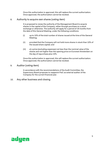Once this authorization is approved, this will replace the current authorization. Once approved, the authorization cannot be revoked.

# 8. Authority to acquire own shares (*voting item*)

It is proposed to renew the authority of the Management Board to acquire shares in the capital of the Company, either through purchase on a stock exchange or otherwise. The authority will apply for a period of 18 months from the date of this General Meeting, under the following conditions:

- (i) up to 10% of the total number of shares issued at the time of the General Meeting;
- (ii) provided that the Company will not hold more shares in stock than 10% of the issued share capital; and
- (iii) at a price (excluding expenses) not less than the nominal value of the shares and not higher than the opening price on Euronext Amsterdam on the day of repurchase plus 10%.

Once this authorization is approved, this will replace the current authorization. Once approved, the authorization cannot be revoked.

# 9. Auditor (*voting item*)

In accordance with the recommendations of the Audit Committee, the Supervisory Board proposes to reappoint PwC as external auditor of the Company for the current financial year.

10. Any other business and closing

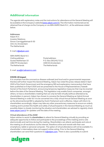# **Additional information**

The agenda with explanatory notes and the instructions for attendance at the General Meeting will be available on the Company's website (www.adyen.com/ir). The information mentioned can be obtained free of charge via the Company or via ABN AMRO Bank N.V., at the addresses stated below.

# **Addresses**

Adyen N.V. Investor Relations Simon Carmiggeltstraat 6-50 1011 DJ Amsterdam The Netherlands

E-mail:ir@adyen.com

ABN AMRO Bank N.V. Visiting address: Postal address: 1082 PPAmsterdam 1000 EAAmsterdam The Netherlands The Netherlands

GustavMahlerlaan 10 P.O.Box 283(HQ7212)

E-mail: ava@nl.abnamro.com

# **COVID-19 impact**

It is uncertain how the coronavirus disease outbreak (and local and/or governmental responses thereto) will further impact the General Meeting. Adyen has noted the press release dated 3 April 2020 of the Dutch Government and the emergency Bill and explanatory memorandum that have been published on 8 April 2020 and are presented to the House of Representatives (*Tweede Kamer*) of the Dutch Parliament, announcing temporary legislative measures that may be enacted before the date of the General Meeting. This legislation may enable Dutch companies, amongst others, to have a shareholders meeting that can only be held virtually (without attendance by shareholders in person). Adyen has chosen to convene the General Meeting as Hybrid Annual General Meeting in order for it to be converted into a fully virtual Annual General Meeting as soon as the aforementioned Bill is adopted by Dutch Parliament and is effective. Adyen will inform its shareholders accordingly. Adyen may take any other precautionary measures to ensure an orderly meeting and to protect the health and safety of all participants in the General Meeting as much as possible.Adyen is closely monitoring the situation and shareholders are advised to regularly check www.adyen.com/ir for updates until the date of the meeting.

# **Virtual attendance of the AGM**

Adyen wishes to assist its shareholders to attend its General Meeting virtually by providing an adequate opportunity to follow and participate to the proceedings of the meeting and to vote electronically and real time during the meeting. Shareholders can attend, participate and vote at the meeting on all resolutions via the internet, therefore online and remote with their own smartphone, tablet or personal computer. The option of virtual attendance will not be available if a shareholder's intermediary does not support online voting. Prior to the General Meeting, shareholders can send their questions to *ir@adyen.com*. There is also a possibility to submit

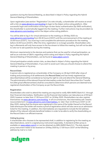questions during the General Meeting, as described in Adyen's Policy regarding the Hybrid General Meeting of Shareholders.

Upon registration (see section "Registration") to vote virtually, a shareholder will receive an email with a link via www.abnamro.com/evoting to login to the Adyen online voting platform. After successful login and confirmation of the login via two-factor authentication (by SMS verification), the shareholder is automatically logged into the meeting. Further instructions may be provided via www.abnamro.com/evoting and/or the Adyen online voting platform.

You will be able to log in for virtual admission to the meeting on 26 May 2020 via www.abnamro.com/evoting from 09.30 hours (CEST) until the commencement of the meeting at 10.00 hours (CEST). You must log in and complete the admission procedure for the meeting before 10.00 hours (CEST). After this time, registration is no longer possible. Shareholders who log in afterwards will only have access to the live stream to follow the meeting, but will not be able to vote nor to ask questions during the meeting.

Minimum requirements to the devices and systems that can be used for virtual participation, as well as an overview of Q&A's regarding online voting and Adyen's Policy regarding the Hybrid General Meeting of Shareholders, can be found at www.adyen.com/ir.

Virtual participation entails certain risks, as described in Adyen's Policy regarding the Hybrid General Meeting of Shareholders. If you wish to avoid such risks you should choose to attend the meeting in person or by proxy.

# **Record Date**

A person who is registered as a shareholder of the Company on 28 April 2020 after close of trading and processing of all settlements (the **Record Date**) and has timely registered (as described below) will be considered as having the right to vote and attend the General Meeting. The administration of the relevant financial intermediary under the Dutch Securities Giro Transfer Act (*Wet giraal effectenverkeer*) shall be consulted to determine which persons are deemed to be registered shareholders of the Company as per the Record Date.

# **Registration**

Shareholders who wish to attend the meeting are required to notify ABN AMRO Bank N.V. through their financial intermediary. Notification via the financial intermediary can take place as of 29 April 2020, however no later than 17.00 hours CEST on 19 May 2020. Shareholders can also register themselves via www.abnamro.com/evoting. In all circumstances, the intermediary will need to issue astatement via www.abnamro.com/intermediary, no later than 12.00 hours CEST on 20 May 2020, stating that the shares were registered in the name of the holder thereof on the Record Date whereupon the holder will receive a proof of registration which will also serve as an admission ticket for the meeting. In addition, the intermediaries are requested to include the full address details of the relevant ultimate beneficial holders in order to be able to verify the shareholding on the Record Date in an efficient manner.

## **Voting by proxy**

A shareholder who chooses to be represented shall, in addition to registering for the meeting as described above, send in a signed proxy instrument separately. A standard written proxy is available on www.adyen.com/ir or can be obtained via ABN AMRO Bank N.V. The duly signed proxy instrument needs to be received on 19 May 2020 by 17.00 hours CEST at the following address by mail or e-mail: